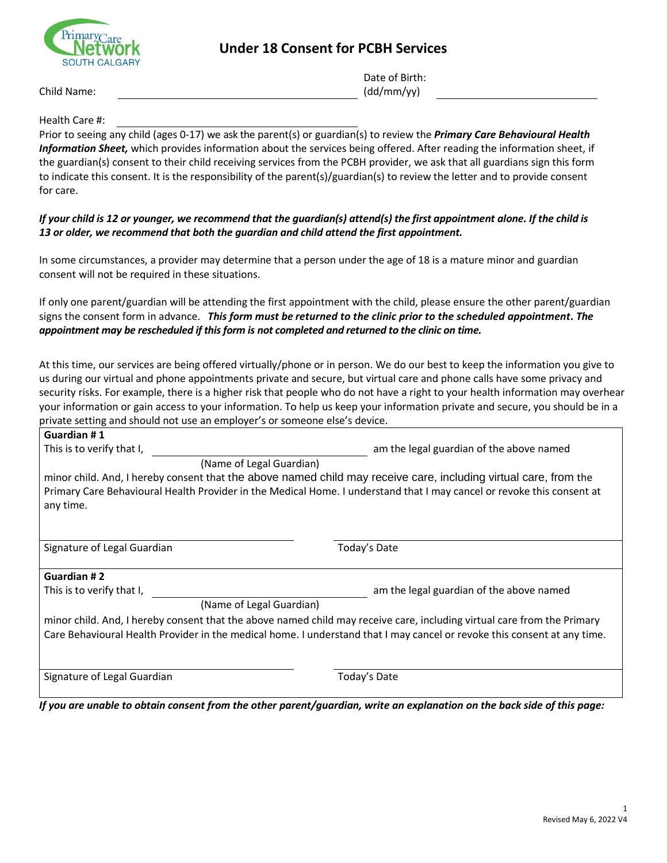## **Under 18 Consent for PCBH Services**



Date of Birth: (dd/mm/yy)

Child Name:

Health Care #:

Prior to seeing any child (ages 0-17) we ask the parent(s) or guardian(s) to review the *Primary Care Behavioural Health Information Sheet,* which provides information about the services being offered. After reading the information sheet, if the guardian(s) consent to their child receiving services from the PCBH provider, we ask that all guardians sign this form to indicate this consent. It is the responsibility of the parent(s)/guardian(s) to review the letter and to provide consent for care.

## *If your child is 12 or younger, we recommend that the guardian(s) attend(s) the first appointment alone. If the child is 13 or older, we recommend that both the guardian and child attend the first appointment.*

In some circumstances, a provider may determine that a person under the age of 18 is a mature minor and guardian consent will not be required in these situations.

If only one parent/guardian will be attending the first appointment with the child, please ensure the other parent/guardian signs the consent form in advance. *This form must be returned to the clinic prior to the scheduled appointment. The appointment may be rescheduled if this form is not completed and returned to the clinic on time.*

At this time, our services are being offered virtually/phone or in person. We do our best to keep the information you give to us during our virtual and phone appointments private and secure, but virtual care and phone calls have some privacy and security risks. For example, there is a higher risk that people who do not have a right to your health information may overhear your information or gain access to your information. To help us keep your information private and secure, you should be in a private setting and should not use an employer's or someone else's device.

| Guardian #1                                                                                                              |                                          |  |
|--------------------------------------------------------------------------------------------------------------------------|------------------------------------------|--|
| This is to verify that I,                                                                                                | am the legal guardian of the above named |  |
| (Name of Legal Guardian)                                                                                                 |                                          |  |
| minor child. And, I hereby consent that the above named child may receive care, including virtual care, from the         |                                          |  |
| Primary Care Behavioural Health Provider in the Medical Home. I understand that I may cancel or revoke this consent at   |                                          |  |
| any time.                                                                                                                |                                          |  |
|                                                                                                                          |                                          |  |
|                                                                                                                          |                                          |  |
| Signature of Legal Guardian                                                                                              | Today's Date                             |  |
|                                                                                                                          |                                          |  |
| Guardian #2                                                                                                              |                                          |  |
| This is to verify that I,                                                                                                | am the legal guardian of the above named |  |
| (Name of Legal Guardian)                                                                                                 |                                          |  |
| minor child. And, I hereby consent that the above named child may receive care, including virtual care from the Primary  |                                          |  |
| Care Behavioural Health Provider in the medical home. I understand that I may cancel or revoke this consent at any time. |                                          |  |
|                                                                                                                          |                                          |  |
|                                                                                                                          |                                          |  |
| Signature of Legal Guardian                                                                                              | Today's Date                             |  |
|                                                                                                                          |                                          |  |

*If you are unable to obtain consent from the other parent/guardian, write an explanation on the back side of this page:*